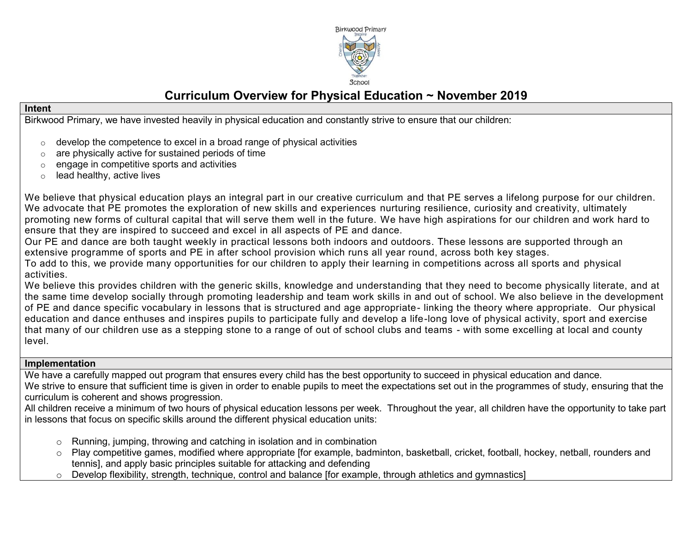

# **Curriculum Overview for Physical Education ~ November 2019**

#### **Intent**

Birkwood Primary, we have invested heavily in physical education and constantly strive to ensure that our children:

- $\circ$  develop the competence to excel in a broad range of physical activities
- $\circ$  are physically active for sustained periods of time
- o engage in competitive sports and activities
- $\circ$  lead healthy, active lives

We believe that physical education plays an integral part in our creative curriculum and that PE serves a lifelong purpose for our children. We advocate that PE promotes the exploration of new skills and experiences nurturing resilience, curiosity and creativity, ultimately promoting new forms of cultural capital that will serve them well in the future. We have high aspirations for our children and work hard to ensure that they are inspired to succeed and excel in all aspects of PE and dance.

Our PE and dance are both taught weekly in practical lessons both indoors and outdoors. These lessons are supported through an extensive programme of sports and PE in after school provision which runs all year round, across both key stages.

To add to this, we provide many opportunities for our children to apply their learning in competitions across all sports and physical activities.

We believe this provides children with the generic skills, knowledge and understanding that they need to become physically literate, and at the same time develop socially through promoting leadership and team work skills in and out of school. We also believe in the development of PE and dance specific vocabulary in lessons that is structured and age appropriate- linking the theory where appropriate. Our physical education and dance enthuses and inspires pupils to participate fully and develop a life-long love of physical activity, sport and exercise that many of our children use as a stepping stone to a range of out of school clubs and teams - with some excelling at local and county level.

#### **Implementation**

We have a carefully mapped out program that ensures every child has the best opportunity to succeed in physical education and dance. We strive to ensure that sufficient time is given in order to enable pupils to meet the expectations set out in the programmes of study, ensuring that the curriculum is coherent and shows progression.

All children receive a minimum of two hours of physical education lessons per week. Throughout the year, all children have the opportunity to take part in lessons that focus on specific skills around the different physical education units:

- o Running, jumping, throwing and catching in isolation and in combination
- o Play competitive games, modified where appropriate [for example, badminton, basketball, cricket, football, hockey, netball, rounders and tennis], and apply basic principles suitable for attacking and defending
- $\circ$  Develop flexibility, strength, technique, control and balance [for example, through athletics and gymnastics]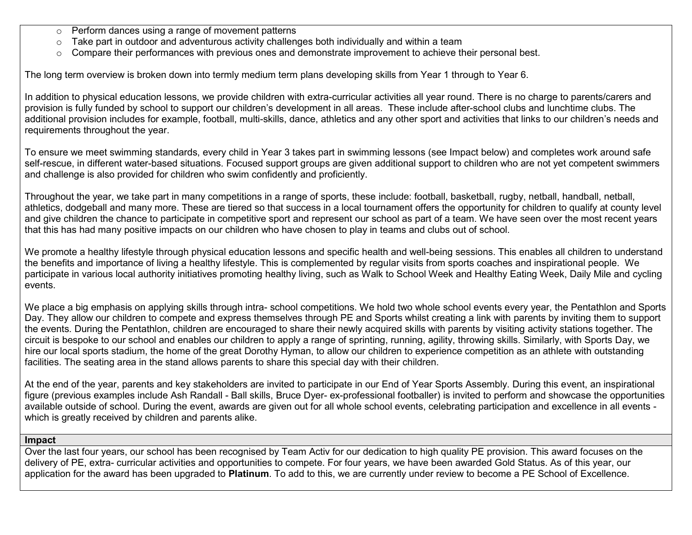- o Perform dances using a range of movement patterns
- $\circ$  Take part in outdoor and adventurous activity challenges both individually and within a team
- $\circ$  Compare their performances with previous ones and demonstrate improvement to achieve their personal best.

The long term overview is broken down into termly medium term plans developing skills from Year 1 through to Year 6.

In addition to physical education lessons, we provide children with extra-curricular activities all year round. There is no charge to parents/carers and provision is fully funded by school to support our children's development in all areas. These include after-school clubs and lunchtime clubs. The additional provision includes for example, football, multi-skills, dance, athletics and any other sport and activities that links to our children's needs and requirements throughout the year.

To ensure we meet swimming standards, every child in Year 3 takes part in swimming lessons (see Impact below) and completes work around safe self-rescue, in different water-based situations. Focused support groups are given additional support to children who are not yet competent swimmers and challenge is also provided for children who swim confidently and proficiently.

Throughout the year, we take part in many competitions in a range of sports, these include: football, basketball, rugby, netball, handball, netball, athletics, dodgeball and many more. These are tiered so that success in a local tournament offers the opportunity for children to qualify at county level and give children the chance to participate in competitive sport and represent our school as part of a team. We have seen over the most recent years that this has had many positive impacts on our children who have chosen to play in teams and clubs out of school.

We promote a healthy lifestyle through physical education lessons and specific health and well-being sessions. This enables all children to understand the benefits and importance of living a healthy lifestyle. This is complemented by regular visits from sports coaches and inspirational people. We participate in various local authority initiatives promoting healthy living, such as Walk to School Week and Healthy Eating Week, Daily Mile and cycling events.

We place a big emphasis on applying skills through intra- school competitions. We hold two whole school events every year, the Pentathlon and Sports Day. They allow our children to compete and express themselves through PE and Sports whilst creating a link with parents by inviting them to support the events. During the Pentathlon, children are encouraged to share their newly acquired skills with parents by visiting activity stations together. The circuit is bespoke to our school and enables our children to apply a range of sprinting, running, agility, throwing skills. Similarly, with Sports Day, we hire our local sports stadium, the home of the great Dorothy Hyman, to allow our children to experience competition as an athlete with outstanding facilities. The seating area in the stand allows parents to share this special day with their children.

At the end of the year, parents and key stakeholders are invited to participate in our End of Year Sports Assembly. During this event, an inspirational figure (previous examples include Ash Randall - Ball skills, Bruce Dyer- ex-professional footballer) is invited to perform and showcase the opportunities available outside of school. During the event, awards are given out for all whole school events, celebrating participation and excellence in all events which is greatly received by children and parents alike.

## **Impact**

Over the last four years, our school has been recognised by Team Activ for our dedication to high quality PE provision. This award focuses on the delivery of PE, extra- curricular activities and opportunities to compete. For four years, we have been awarded Gold Status. As of this year, our application for the award has been upgraded to **Platinum**. To add to this, we are currently under review to become a PE School of Excellence.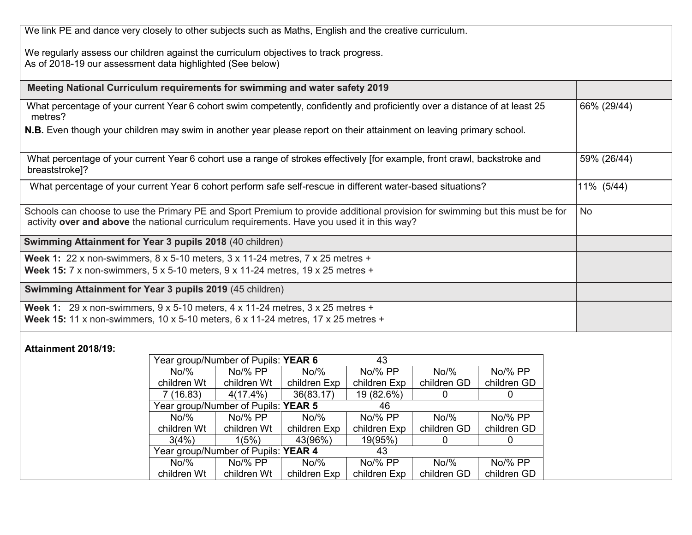| We link PE and dance very closely to other subjects such as Maths, English and the creative curriculum.                                                                                                                     |             |
|-----------------------------------------------------------------------------------------------------------------------------------------------------------------------------------------------------------------------------|-------------|
| We regularly assess our children against the curriculum objectives to track progress.<br>As of 2018-19 our assessment data highlighted (See below)                                                                          |             |
| Meeting National Curriculum requirements for swimming and water safety 2019                                                                                                                                                 |             |
| What percentage of your current Year 6 cohort swim competently, confidently and proficiently over a distance of at least 25<br>metres?                                                                                      | 66% (29/44) |
| N.B. Even though your children may swim in another year please report on their attainment on leaving primary school.                                                                                                        |             |
| What percentage of your current Year 6 cohort use a range of strokes effectively [for example, front crawl, backstroke and<br>breaststroke]?                                                                                | 59% (26/44) |
| What percentage of your current Year 6 cohort perform safe self-rescue in different water-based situations?                                                                                                                 | 11% (5/44)  |
| Schools can choose to use the Primary PE and Sport Premium to provide additional provision for swimming but this must be for<br>activity over and above the national curriculum requirements. Have you used it in this way? | <b>No</b>   |
| Swimming Attainment for Year 3 pupils 2018 (40 children)                                                                                                                                                                    |             |
| Week 1: 22 x non-swimmers, $8 \times 5$ -10 meters, $3 \times 11$ -24 metres, $7 \times 25$ metres +<br><b>Week 15:</b> 7 x non-swimmers, $5 \times 5$ -10 meters, $9 \times 11$ -24 metres, $19 \times 25$ metres +        |             |
| Swimming Attainment for Year 3 pupils 2019 (45 children)                                                                                                                                                                    |             |
| Week 1: 29 x non-swimmers, $9 \times 5$ -10 meters, $4 \times 11$ -24 metres, $3 \times 25$ metres +<br><b>Week 15:</b> 11 x non-swimmers, 10 x 5-10 meters, $6 \times 11-24$ metres, 17 x 25 metres +                      |             |
| <b>Attainment 2018/19:</b><br>Year group/Number of Pupils: <b>YFAR 6</b><br>43                                                                                                                                              |             |

|             | Year group/Number of Pupils: YEAR 6 |              | 43           |             |             |
|-------------|-------------------------------------|--------------|--------------|-------------|-------------|
| $No\%$      | No/% PP                             | $No\%$       | No/% PP      | $No\%$      | No/% PP     |
| children Wt | children Wt                         | children Exp | children Exp | children GD | children GD |
| 7(16.83)    | $4(17.4\%)$                         | 36(83.17)    | 19 (82.6%)   |             | 0           |
|             | Year group/Number of Pupils: YEAR 5 |              | 46           |             |             |
| $No\%$      | No/% PP                             | $No\%$       | No/% PP      | $No\%$      | No/% PP     |
| children Wt | children Wt                         | children Exp | children Exp | children GD | children GD |
| 3(4%)       | 1(5%)                               | 43(96%)      | 19(95%)      | $\Omega$    | 0           |
|             | Year group/Number of Pupils: YEAR 4 |              | 43           |             |             |
| $No\%$      | No/% PP                             | $No\%$       | No/% PP      | $No\%$      | No/% PP     |
| children Wt | children Wt                         | children Exp | children Exp | children GD | children GD |